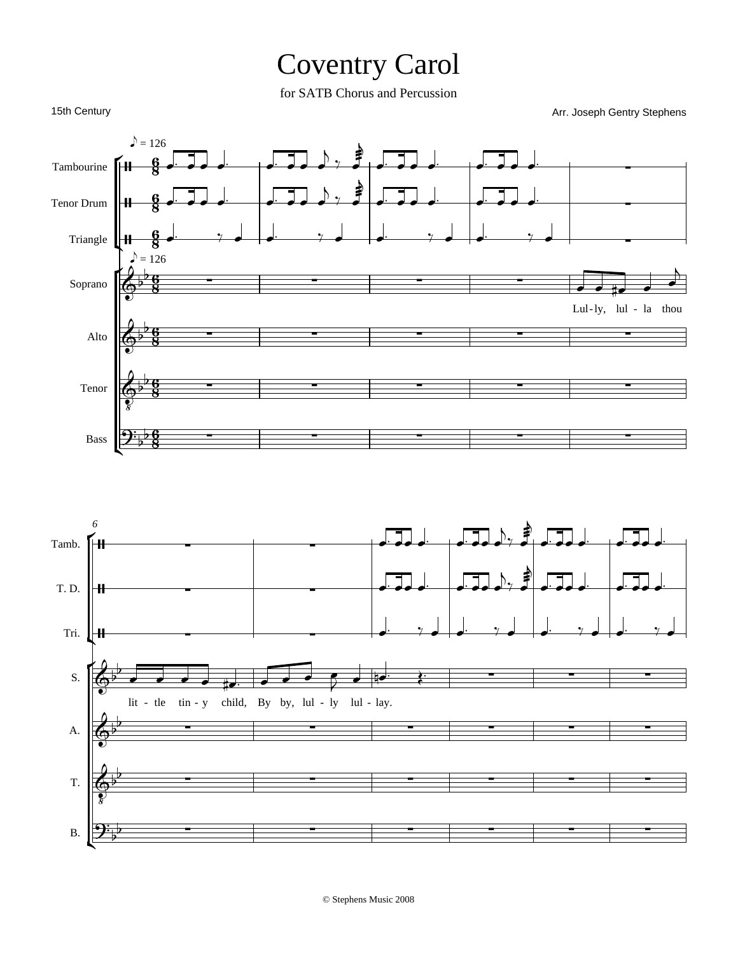## Coventry Carol

for SATB Chorus and Percussion

Arr. Joseph Gentry Stephens

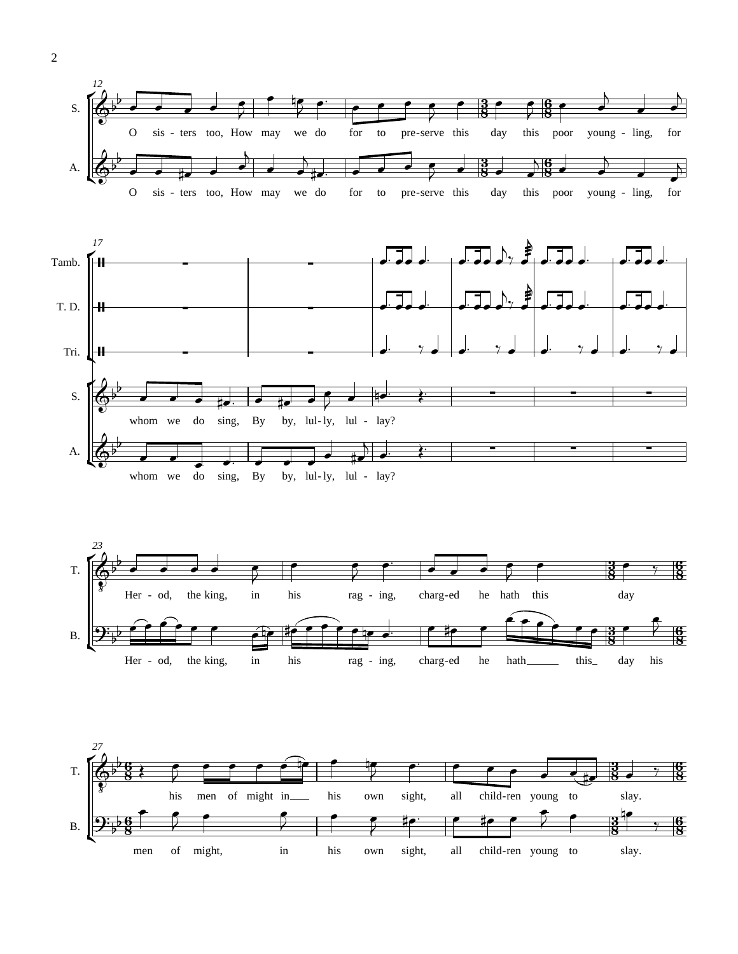



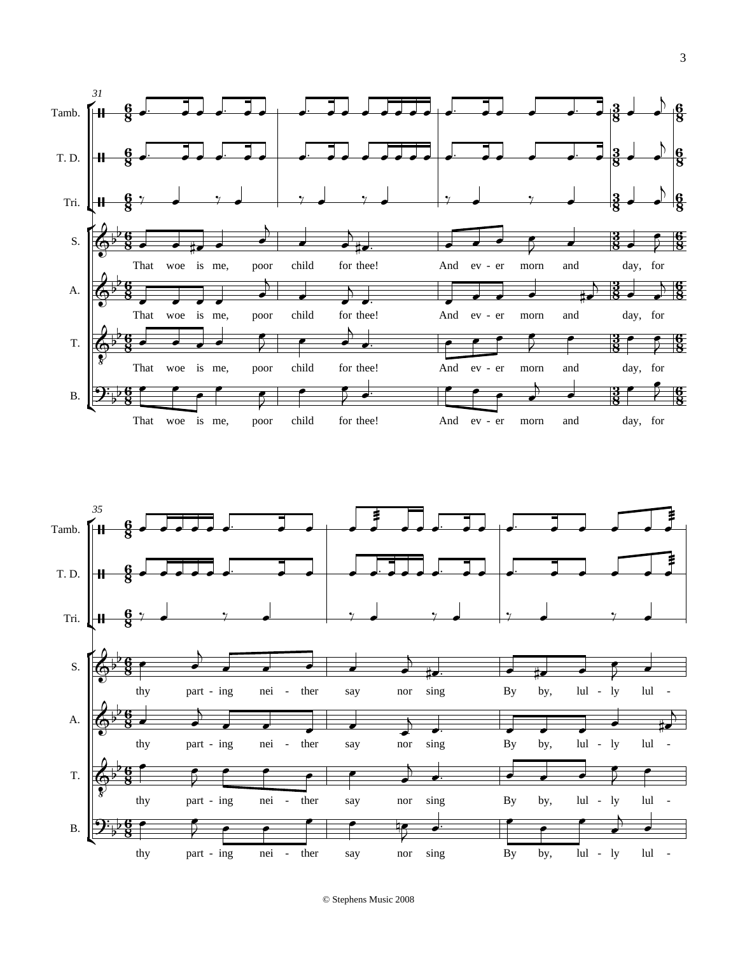